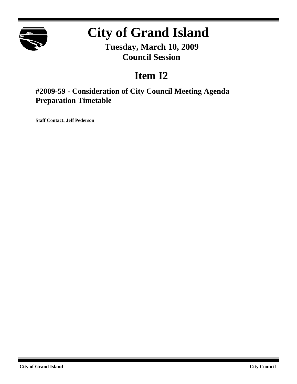

# **City of Grand Island**

**Tuesday, March 10, 2009 Council Session**

## **Item I2**

## **#2009-59 - Consideration of City Council Meeting Agenda Preparation Timetable**

**Staff Contact: Jeff Pederson**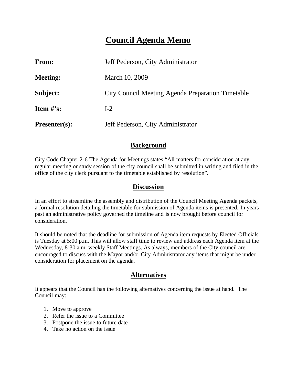## **Council Agenda Memo**

| <b>From:</b>                   | Jeff Pederson, City Administrator                 |  |
|--------------------------------|---------------------------------------------------|--|
| <b>Meeting:</b>                | March 10, 2009                                    |  |
| Subject:                       | City Council Meeting Agenda Preparation Timetable |  |
| <b>Item <math>\#</math>'s:</b> | $I-2$                                             |  |
| $Presenter(s):$                | Jeff Pederson, City Administrator                 |  |

#### **Background**

City Code Chapter 2-6 The Agenda for Meetings states "All matters for consideration at any regular meeting or study session of the city council shall be submitted in writing and filed in the office of the city clerk pursuant to the timetable established by resolution".

#### **Discussion**

In an effort to streamline the assembly and distribution of the Council Meeting Agenda packets, a formal resolution detailing the timetable for submission of Agenda items is presented. In years past an administrative policy governed the timeline and is now brought before council for consideration.

It should be noted that the deadline for submission of Agenda item requests by Elected Officials is Tuesday at 5:00 p.m. This will allow staff time to review and address each Agenda item at the Wednesday, 8:30 a.m. weekly Staff Meetings. As always, members of the City council are encouraged to discuss with the Mayor and/or City Administrator any items that might be under consideration for placement on the agenda.

#### **Alternatives**

It appears that the Council has the following alternatives concerning the issue at hand. The Council may:

- 1. Move to approve
- 2. Refer the issue to a Committee
- 3. Postpone the issue to future date
- 4. Take no action on the issue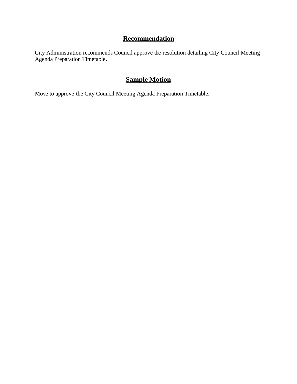## **Recommendation**

City Administration recommends Council approve the resolution detailing City Council Meeting Agenda Preparation Timetable.

## **Sample Motion**

Move to approve the City Council Meeting Agenda Preparation Timetable.